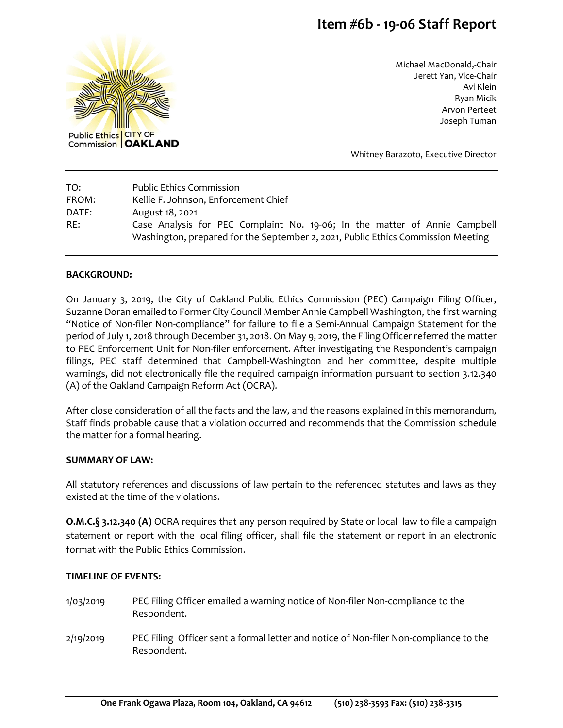# **Item #6b - 19-06 Staff Report**



Michael MacDonald,-Chair Jerett Yan, Vice-Chair Avi Klein Ryan Micik Arvon Perteet Joseph Tuman

Whitney Barazoto, Executive Director

| TO:   | <b>Public Ethics Commission</b>                                                  |
|-------|----------------------------------------------------------------------------------|
| FROM: | Kellie F. Johnson, Enforcement Chief                                             |
| DATE: | August 18, 2021                                                                  |
| RE:   | Case Analysis for PEC Complaint No. 19-06; In the matter of Annie Campbell       |
|       | Washington, prepared for the September 2, 2021, Public Ethics Commission Meeting |

#### **BACKGROUND:**

On January 3, 2019, the City of Oakland Public Ethics Commission (PEC) Campaign Filing Officer, Suzanne Doran emailed to Former City Council Member Annie Campbell Washington, the first warning "Notice of Non-filer Non-compliance" for failure to file a Semi-Annual Campaign Statement for the period of July 1, 2018 through December 31, 2018. On May 9, 2019, the Filing Officer referred the matter to PEC Enforcement Unit for Non-filer enforcement. After investigating the Respondent's campaign filings, PEC staff determined that Campbell-Washington and her committee, despite multiple warnings, did not electronically file the required campaign information pursuant to section 3.12.340 (A) of the Oakland Campaign Reform Act (OCRA).

After close consideration of all the facts and the law, and the reasons explained in this memorandum, Staff finds probable cause that a violation occurred and recommends that the Commission schedule the matter for a formal hearing.

#### **SUMMARY OF LAW:**

All statutory references and discussions of law pertain to the referenced statutes and laws as they existed at the time of the violations.

**O.M.C.§ 3.12.340 (A)** OCRA requires that any person required by State or local law to file a campaign statement or report with the local filing officer, shall file the statement or report in an electronic format with the Public Ethics Commission.

### **TIMELINE OF EVENTS:**

- 1/03/2019 PEC Filing Officer emailed a warning notice of Non-filer Non-compliance to the Respondent.
- 2/19/2019 PEC Filing Officer sent a formal letter and notice of Non-filer Non-compliance to the Respondent.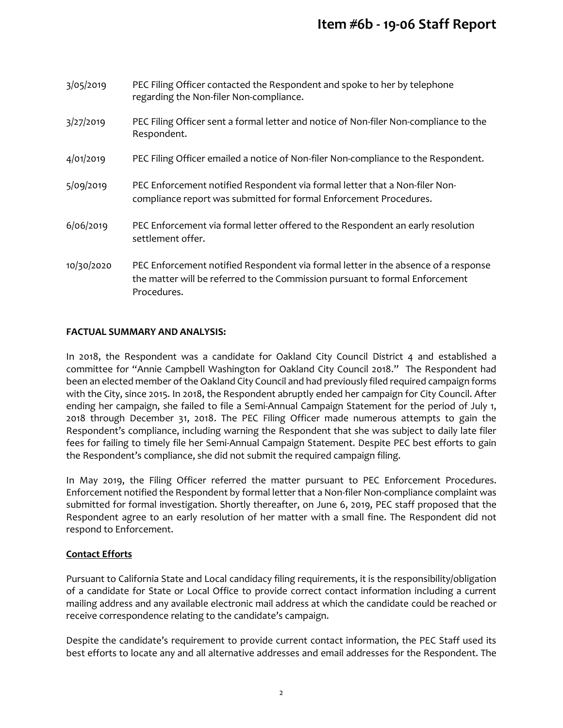## **Item #6b - 19-06 Staff Report**

| 3/05/2019  | PEC Filing Officer contacted the Respondent and spoke to her by telephone<br>regarding the Non-filer Non-compliance.                                                              |
|------------|-----------------------------------------------------------------------------------------------------------------------------------------------------------------------------------|
| 3/27/2019  | PEC Filing Officer sent a formal letter and notice of Non-filer Non-compliance to the<br>Respondent.                                                                              |
| 4/01/2019  | PEC Filing Officer emailed a notice of Non-filer Non-compliance to the Respondent.                                                                                                |
| 5/09/2019  | PEC Enforcement notified Respondent via formal letter that a Non-filer Non-<br>compliance report was submitted for formal Enforcement Procedures.                                 |
| 6/06/2019  | PEC Enforcement via formal letter offered to the Respondent an early resolution<br>settlement offer.                                                                              |
| 10/30/2020 | PEC Enforcement notified Respondent via formal letter in the absence of a response<br>the matter will be referred to the Commission pursuant to formal Enforcement<br>Procedures. |

### **FACTUAL SUMMARY AND ANALYSIS:**

In 2018, the Respondent was a candidate for Oakland City Council District 4 and established a committee for "Annie Campbell Washington for Oakland City Council 2018." The Respondent had been an elected member of the Oakland City Council and had previously filed required campaign forms with the City, since 2015. In 2018, the Respondent abruptly ended her campaign for City Council. After ending her campaign, she failed to file a Semi-Annual Campaign Statement for the period of July 1, 2018 through December 31, 2018. The PEC Filing Officer made numerous attempts to gain the Respondent's compliance, including warning the Respondent that she was subject to daily late filer fees for failing to timely file her Semi-Annual Campaign Statement. Despite PEC best efforts to gain the Respondent's compliance, she did not submit the required campaign filing.

In May 2019, the Filing Officer referred the matter pursuant to PEC Enforcement Procedures. Enforcement notified the Respondent by formal letter that a Non-filer Non-compliance complaint was submitted for formal investigation. Shortly thereafter, on June 6, 2019, PEC staff proposed that the Respondent agree to an early resolution of her matter with a small fine. The Respondent did not respond to Enforcement.

### **Contact Efforts**

Pursuant to California State and Local candidacy filing requirements, it is the responsibility/obligation of a candidate for State or Local Office to provide correct contact information including a current mailing address and any available electronic mail address at which the candidate could be reached or receive correspondence relating to the candidate's campaign.

Despite the candidate's requirement to provide current contact information, the PEC Staff used its best efforts to locate any and all alternative addresses and email addresses for the Respondent. The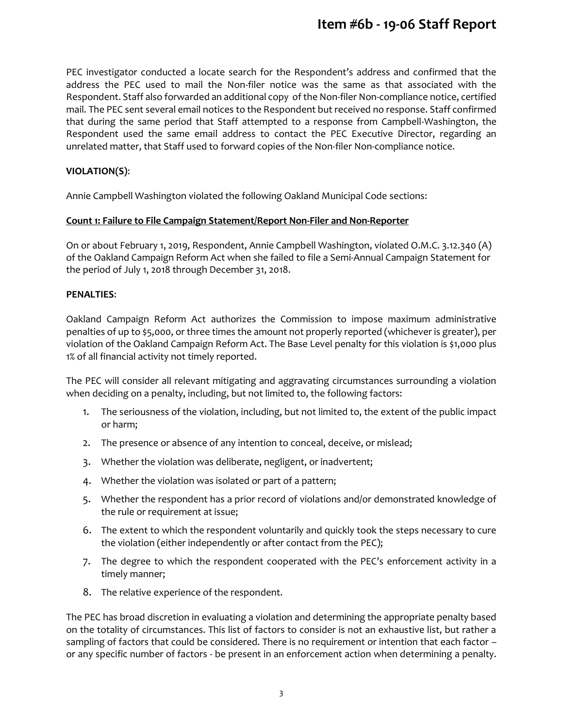## **Item #6b - 19-06 Staff Report**

PEC investigator conducted a locate search for the Respondent's address and confirmed that the address the PEC used to mail the Non-filer notice was the same as that associated with the Respondent. Staff also forwarded an additional copy of the Non-filer Non-compliance notice, certified mail. The PEC sent several email notices to the Respondent but received no response. Staff confirmed that during the same period that Staff attempted to a response from Campbell-Washington, the Respondent used the same email address to contact the PEC Executive Director, regarding an unrelated matter, that Staff used to forward copies of the Non-filer Non-compliance notice.

### **VIOLATION(S)**:

Annie Campbell Washington violated the following Oakland Municipal Code sections:

### **Count 1: Failure to File Campaign Statement/Report Non-Filer and Non-Reporter**

On or about February 1, 2019, Respondent, Annie Campbell Washington, violated O.M.C. 3.12.340 (A) of the Oakland Campaign Reform Act when she failed to file a Semi-Annual Campaign Statement for the period of July 1, 2018 through December 31, 2018.

### **PENALTIES**:

Oakland Campaign Reform Act authorizes the Commission to impose maximum administrative penalties of up to \$5,000, or three times the amount not properly reported (whichever is greater), per violation of the Oakland Campaign Reform Act. The Base Level penalty for this violation is \$1,000 plus 1% of all financial activity not timely reported.

The PEC will consider all relevant mitigating and aggravating circumstances surrounding a violation when deciding on a penalty, including, but not limited to, the following factors:

- 1. The seriousness of the violation, including, but not limited to, the extent of the public impact or harm;
- 2. The presence or absence of any intention to conceal, deceive, or mislead;
- 3. Whether the violation was deliberate, negligent, or inadvertent;
- 4. Whether the violation was isolated or part of a pattern;
- 5. Whether the respondent has a prior record of violations and/or demonstrated knowledge of the rule or requirement at issue;
- 6. The extent to which the respondent voluntarily and quickly took the steps necessary to cure the violation (either independently or after contact from the PEC);
- 7. The degree to which the respondent cooperated with the PEC's enforcement activity in a timely manner;
- 8. The relative experience of the respondent.

The PEC has broad discretion in evaluating a violation and determining the appropriate penalty based on the totality of circumstances. This list of factors to consider is not an exhaustive list, but rather a sampling of factors that could be considered. There is no requirement or intention that each factor or any specific number of factors - be present in an enforcement action when determining a penalty.